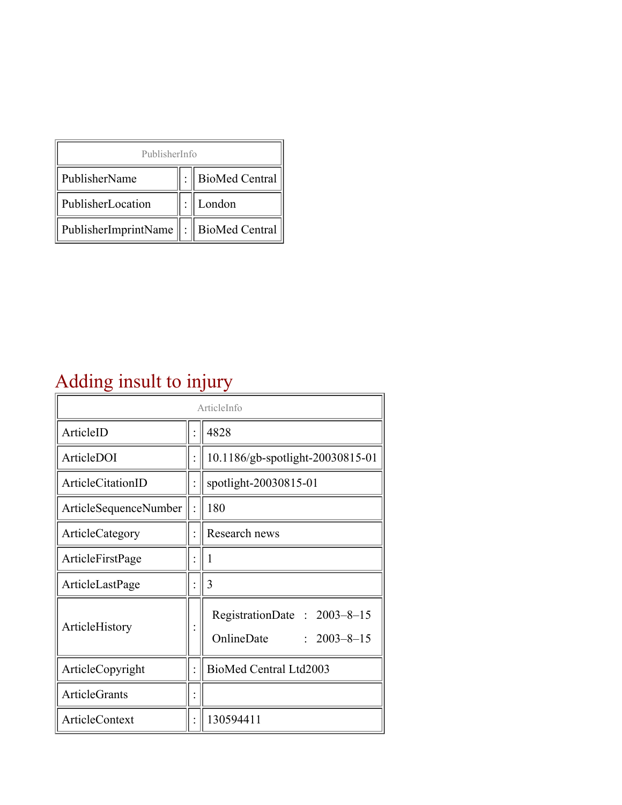| PublisherInfo                                   |  |                    |  |  |
|-------------------------------------------------|--|--------------------|--|--|
| PublisherName                                   |  | :   BioMed Central |  |  |
| PublisherLocation                               |  | London             |  |  |
| PublisherImprintName $\ \cdot\ $ BioMed Central |  |                    |  |  |

## Adding insult to injury

| ArticleInfo            |  |                                                                     |
|------------------------|--|---------------------------------------------------------------------|
| ArticleID              |  | 4828                                                                |
| ArticleDOI             |  | 10.1186/gb-spotlight-20030815-01                                    |
| ArticleCitationID      |  | spotlight-20030815-01                                               |
| ArticleSequenceNumber  |  | 180                                                                 |
| <b>ArticleCategory</b> |  | Research news                                                       |
| ArticleFirstPage       |  | 1                                                                   |
| ArticleLastPage        |  | 3                                                                   |
| ArticleHistory         |  | RegistrationDate: 2003-8-15<br>OnlineDate<br>$\therefore$ 2003-8-15 |
| ArticleCopyright       |  | BioMed Central Ltd2003                                              |
| ArticleGrants          |  |                                                                     |
| <b>ArticleContext</b>  |  | 130594411                                                           |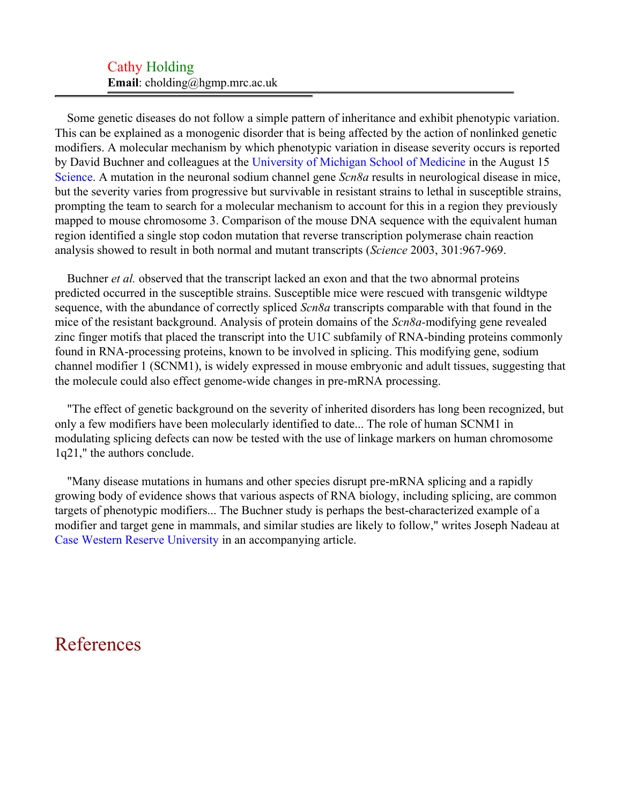## Cathy Holding **Email**: cholding@hgmp.mrc.ac.uk

Some genetic diseases do not follow a simple pattern of inheritance and exhibit phenotypic variation. This can be explained as a monogenic disorder that is being affected by the action of nonlinked genetic modifiers. A molecular mechanism by which phenotypic variation in disease severity occurs is reported by David Buchner and colleagues at the [University of Michigan School of Medicine](#page-2-0) in the August 15 [Science](#page-2-1). A mutation in the neuronal sodium channel gene *Scn8a* results in neurological disease in mice, but the severity varies from progressive but survivable in resistant strains to lethal in susceptible strains, prompting the team to search for a molecular mechanism to account for this in a region they previously mapped to mouse chromosome 3. Comparison of the mouse DNA sequence with the equivalent human region identified a single stop codon mutation that reverse transcription polymerase chain reaction analysis showed to result in both normal and mutant transcripts (*Science* 2003, 301:967-969.

Buchner *et al.* observed that the transcript lacked an exon and that the two abnormal proteins predicted occurred in the susceptible strains. Susceptible mice were rescued with transgenic wildtype sequence, with the abundance of correctly spliced *Scn8a* transcripts comparable with that found in the mice of the resistant background. Analysis of protein domains of the *Scn8a-*modifying gene revealed zinc finger motifs that placed the transcript into the U1C subfamily of RNA-binding proteins commonly found in RNA-processing proteins, known to be involved in splicing. This modifying gene, sodium channel modifier 1 (SCNM1), is widely expressed in mouse embryonic and adult tissues, suggesting that the molecule could also effect genome-wide changes in pre-mRNA processing.

"The effect of genetic background on the severity of inherited disorders has long been recognized, but only a few modifiers have been molecularly identified to date... The role of human SCNM1 in modulating splicing defects can now be tested with the use of linkage markers on human chromosome 1q21," the authors conclude.

"Many disease mutations in humans and other species disrupt pre-mRNA splicing and a rapidly growing body of evidence shows that various aspects of RNA biology, including splicing, are common targets of phenotypic modifiers... The Buchner study is perhaps the best-characterized example of a modifier and target gene in mammals, and similar studies are likely to follow," writes Joseph Nadeau at [Case Western Reserve University](#page-2-2) in an accompanying article.

## References